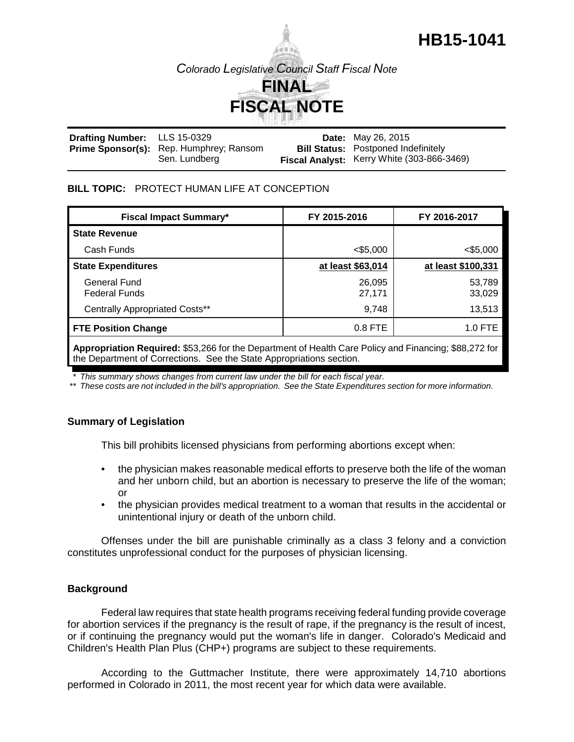# **HB15-1041**

*Colorado Legislative Council Staff Fiscal Note*



| <b>Drafting Number:</b> LLS 15-0329 |                                                | <b>Date:</b> May 26, 2015                  |
|-------------------------------------|------------------------------------------------|--------------------------------------------|
|                                     | <b>Prime Sponsor(s):</b> Rep. Humphrey; Ransom | <b>Bill Status: Postponed Indefinitely</b> |
|                                     | Sen. Lundberg                                  | Fiscal Analyst: Kerry White (303-866-3469) |

## **BILL TOPIC:** PROTECT HUMAN LIFE AT CONCEPTION

| <b>Fiscal Impact Summary*</b>         | FY 2015-2016      | FY 2016-2017       |
|---------------------------------------|-------------------|--------------------|
| <b>State Revenue</b>                  |                   |                    |
| Cash Funds                            | $<$ \$5,000       | $<$ \$5,000        |
| <b>State Expenditures</b>             | at least \$63,014 | at least \$100,331 |
| General Fund<br><b>Federal Funds</b>  | 26,095<br>27,171  | 53,789<br>33,029   |
| <b>Centrally Appropriated Costs**</b> | 9,748             | 13,513             |
| <b>FTE Position Change</b>            | $0.8$ FTE         | 1.0 FTE            |
|                                       |                   |                    |

**Appropriation Required:** \$53,266 for the Department of Health Care Policy and Financing; \$88,272 for the Department of Corrections. See the State Appropriations section.

*\* This summary shows changes from current law under the bill for each fiscal year.* 

*\*\* These costs are not included in the bill's appropriation. See the State Expenditures section for more information.*

## **Summary of Legislation**

This bill prohibits licensed physicians from performing abortions except when:

- the physician makes reasonable medical efforts to preserve both the life of the woman and her unborn child, but an abortion is necessary to preserve the life of the woman; or
- the physician provides medical treatment to a woman that results in the accidental or unintentional injury or death of the unborn child.

Offenses under the bill are punishable criminally as a class 3 felony and a conviction constitutes unprofessional conduct for the purposes of physician licensing.

## **Background**

Federal law requires that state health programs receiving federal funding provide coverage for abortion services if the pregnancy is the result of rape, if the pregnancy is the result of incest, or if continuing the pregnancy would put the woman's life in danger. Colorado's Medicaid and Children's Health Plan Plus (CHP+) programs are subject to these requirements.

According to the Guttmacher Institute, there were approximately 14,710 abortions performed in Colorado in 2011, the most recent year for which data were available.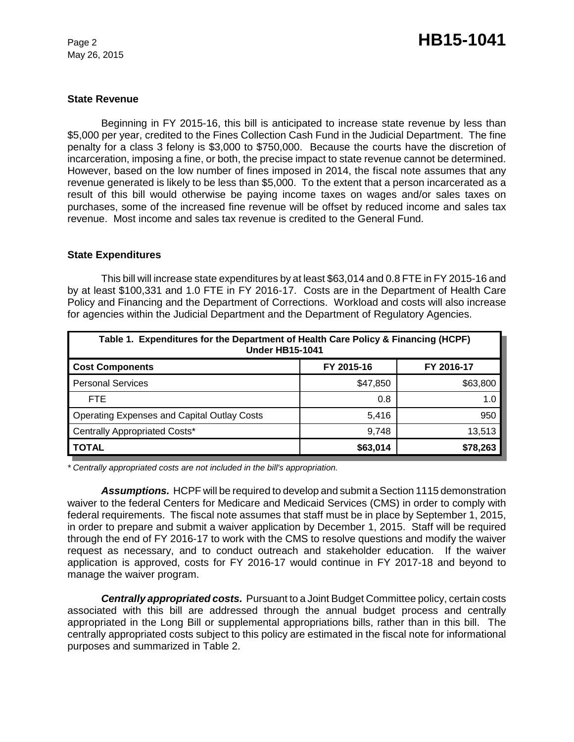May 26, 2015

## **State Revenue**

Beginning in FY 2015-16, this bill is anticipated to increase state revenue by less than \$5,000 per year, credited to the Fines Collection Cash Fund in the Judicial Department. The fine penalty for a class 3 felony is \$3,000 to \$750,000. Because the courts have the discretion of incarceration, imposing a fine, or both, the precise impact to state revenue cannot be determined. However, based on the low number of fines imposed in 2014, the fiscal note assumes that any revenue generated is likely to be less than \$5,000. To the extent that a person incarcerated as a result of this bill would otherwise be paying income taxes on wages and/or sales taxes on purchases, some of the increased fine revenue will be offset by reduced income and sales tax revenue. Most income and sales tax revenue is credited to the General Fund.

#### **State Expenditures**

This bill will increase state expenditures by at least \$63,014 and 0.8 FTE in FY 2015-16 and by at least \$100,331 and 1.0 FTE in FY 2016-17. Costs are in the Department of Health Care Policy and Financing and the Department of Corrections. Workload and costs will also increase for agencies within the Judicial Department and the Department of Regulatory Agencies.

| Table 1. Expenditures for the Department of Health Care Policy & Financing (HCPF)<br><b>Under HB15-1041</b> |            |            |  |  |  |
|-------------------------------------------------------------------------------------------------------------|------------|------------|--|--|--|
| <b>Cost Components</b>                                                                                      | FY 2015-16 | FY 2016-17 |  |  |  |
| <b>Personal Services</b>                                                                                    | \$47,850   | \$63,800   |  |  |  |
| FTE.                                                                                                        | 0.8        | 1.0        |  |  |  |
| <b>Operating Expenses and Capital Outlay Costs</b>                                                          | 5,416      | 950        |  |  |  |
| <b>Centrally Appropriated Costs*</b>                                                                        | 9,748      | 13,513     |  |  |  |
| <b>TOTAL</b>                                                                                                | \$63,014   | \$78,263   |  |  |  |

*\* Centrally appropriated costs are not included in the bill's appropriation.*

*Assumptions.* HCPF will be required to develop and submit a Section 1115 demonstration waiver to the federal Centers for Medicare and Medicaid Services (CMS) in order to comply with federal requirements. The fiscal note assumes that staff must be in place by September 1, 2015, in order to prepare and submit a waiver application by December 1, 2015. Staff will be required through the end of FY 2016-17 to work with the CMS to resolve questions and modify the waiver request as necessary, and to conduct outreach and stakeholder education. If the waiver application is approved, costs for FY 2016-17 would continue in FY 2017-18 and beyond to manage the waiver program.

*Centrally appropriated costs.* Pursuant to a Joint Budget Committee policy, certain costs associated with this bill are addressed through the annual budget process and centrally appropriated in the Long Bill or supplemental appropriations bills, rather than in this bill. The centrally appropriated costs subject to this policy are estimated in the fiscal note for informational purposes and summarized in Table 2.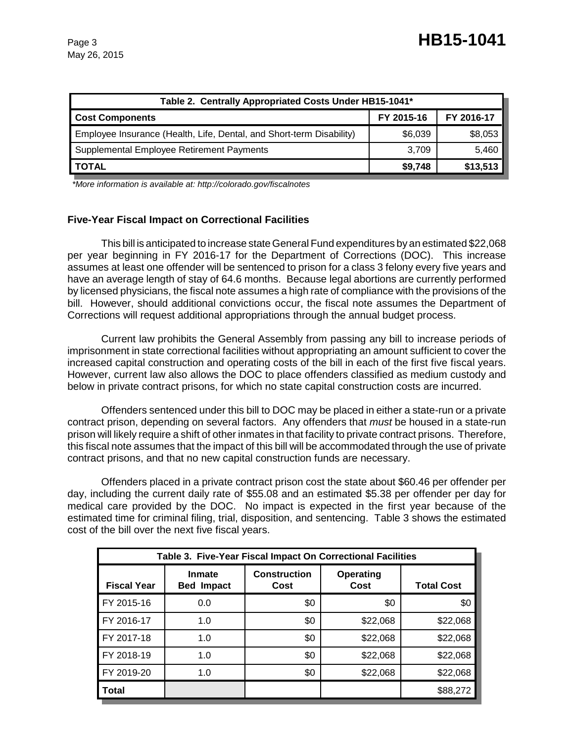| Table 2. Centrally Appropriated Costs Under HB15-1041*               |            |          |  |
|----------------------------------------------------------------------|------------|----------|--|
| <b>Cost Components</b>                                               | FY 2016-17 |          |  |
| Employee Insurance (Health, Life, Dental, and Short-term Disability) | \$6,039    | \$8,053  |  |
| Supplemental Employee Retirement Payments                            | 3,709      | 5,460    |  |
| <b>TOTAL</b>                                                         | \$9,748    | \$13,513 |  |

 *\*More information is available at: http://colorado.gov/fiscalnotes*

# **Five-Year Fiscal Impact on Correctional Facilities**

This bill is anticipated to increase state General Fund expenditures by an estimated \$22,068 per year beginning in FY 2016-17 for the Department of Corrections (DOC). This increase assumes at least one offender will be sentenced to prison for a class 3 felony every five years and have an average length of stay of 64.6 months. Because legal abortions are currently performed by licensed physicians, the fiscal note assumes a high rate of compliance with the provisions of the bill. However, should additional convictions occur, the fiscal note assumes the Department of Corrections will request additional appropriations through the annual budget process.

Current law prohibits the General Assembly from passing any bill to increase periods of imprisonment in state correctional facilities without appropriating an amount sufficient to cover the increased capital construction and operating costs of the bill in each of the first five fiscal years. However, current law also allows the DOC to place offenders classified as medium custody and below in private contract prisons, for which no state capital construction costs are incurred.

Offenders sentenced under this bill to DOC may be placed in either a state-run or a private contract prison, depending on several factors. Any offenders that *must* be housed in a state-run prison will likely require a shift of other inmates in that facility to private contract prisons. Therefore, this fiscal note assumes that the impact of this bill will be accommodated through the use of private contract prisons, and that no new capital construction funds are necessary.

Offenders placed in a private contract prison cost the state about \$60.46 per offender per day, including the current daily rate of \$55.08 and an estimated \$5.38 per offender per day for medical care provided by the DOC. No impact is expected in the first year because of the estimated time for criminal filing, trial, disposition, and sentencing. Table 3 shows the estimated cost of the bill over the next five fiscal years.

| Table 3. Five-Year Fiscal Impact On Correctional Facilities |                                    |                             |                   |                   |  |
|-------------------------------------------------------------|------------------------------------|-----------------------------|-------------------|-------------------|--|
| <b>Fiscal Year</b>                                          | <b>Inmate</b><br><b>Bed Impact</b> | <b>Construction</b><br>Cost | Operating<br>Cost | <b>Total Cost</b> |  |
| FY 2015-16                                                  | 0.0                                | \$0                         | \$0               | \$0               |  |
| FY 2016-17                                                  | 1.0                                | \$0                         | \$22,068          | \$22,068          |  |
| FY 2017-18                                                  | 1.0                                | \$0                         | \$22,068          | \$22,068          |  |
| FY 2018-19                                                  | 1.0                                | \$0                         | \$22,068          | \$22,068          |  |
| FY 2019-20                                                  | 1.0                                | \$0                         | \$22,068          | \$22,068          |  |
| Total                                                       |                                    |                             |                   | \$88,272          |  |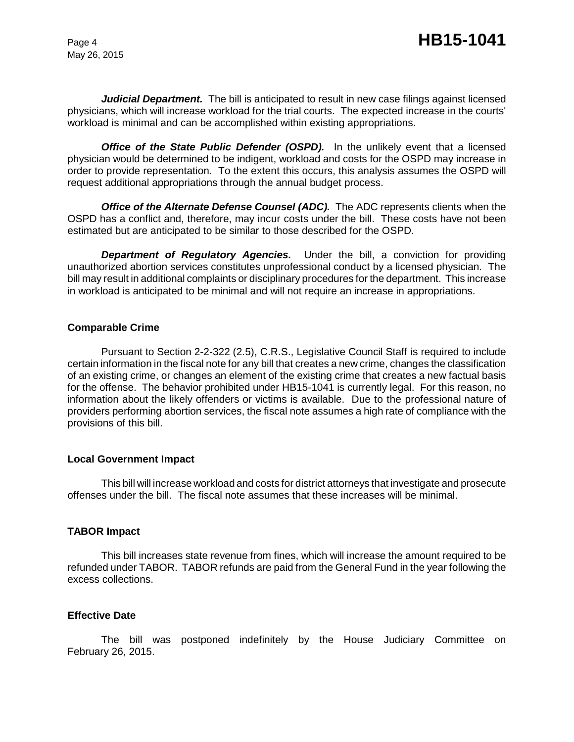May 26, 2015

Judicial Department. The bill is anticipated to result in new case filings against licensed physicians, which will increase workload for the trial courts. The expected increase in the courts' workload is minimal and can be accomplished within existing appropriations.

**Office of the State Public Defender (OSPD).** In the unlikely event that a licensed physician would be determined to be indigent, workload and costs for the OSPD may increase in order to provide representation. To the extent this occurs, this analysis assumes the OSPD will request additional appropriations through the annual budget process.

*Office of the Alternate Defense Counsel (ADC).* The ADC represents clients when the OSPD has a conflict and, therefore, may incur costs under the bill. These costs have not been estimated but are anticipated to be similar to those described for the OSPD.

*Department of Regulatory Agencies.* Under the bill, a conviction for providing unauthorized abortion services constitutes unprofessional conduct by a licensed physician. The bill may result in additional complaints or disciplinary procedures for the department. This increase in workload is anticipated to be minimal and will not require an increase in appropriations.

## **Comparable Crime**

Pursuant to Section 2-2-322 (2.5), C.R.S., Legislative Council Staff is required to include certain information in the fiscal note for any bill that creates a new crime, changes the classification of an existing crime, or changes an element of the existing crime that creates a new factual basis for the offense. The behavior prohibited under HB15-1041 is currently legal. For this reason, no information about the likely offenders or victims is available. Due to the professional nature of providers performing abortion services, the fiscal note assumes a high rate of compliance with the provisions of this bill.

## **Local Government Impact**

This bill will increase workload and costs for district attorneys that investigate and prosecute offenses under the bill. The fiscal note assumes that these increases will be minimal.

# **TABOR Impact**

This bill increases state revenue from fines, which will increase the amount required to be refunded under TABOR. TABOR refunds are paid from the General Fund in the year following the excess collections.

# **Effective Date**

The bill was postponed indefinitely by the House Judiciary Committee on February 26, 2015.